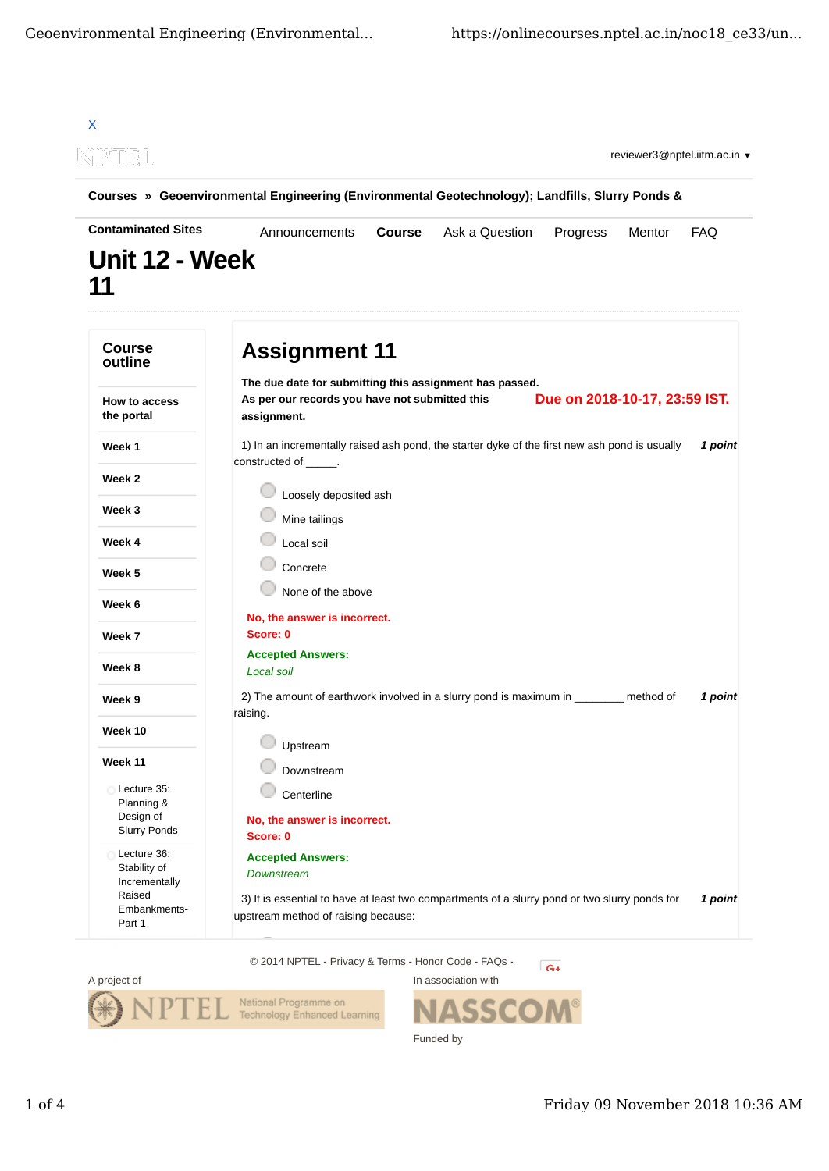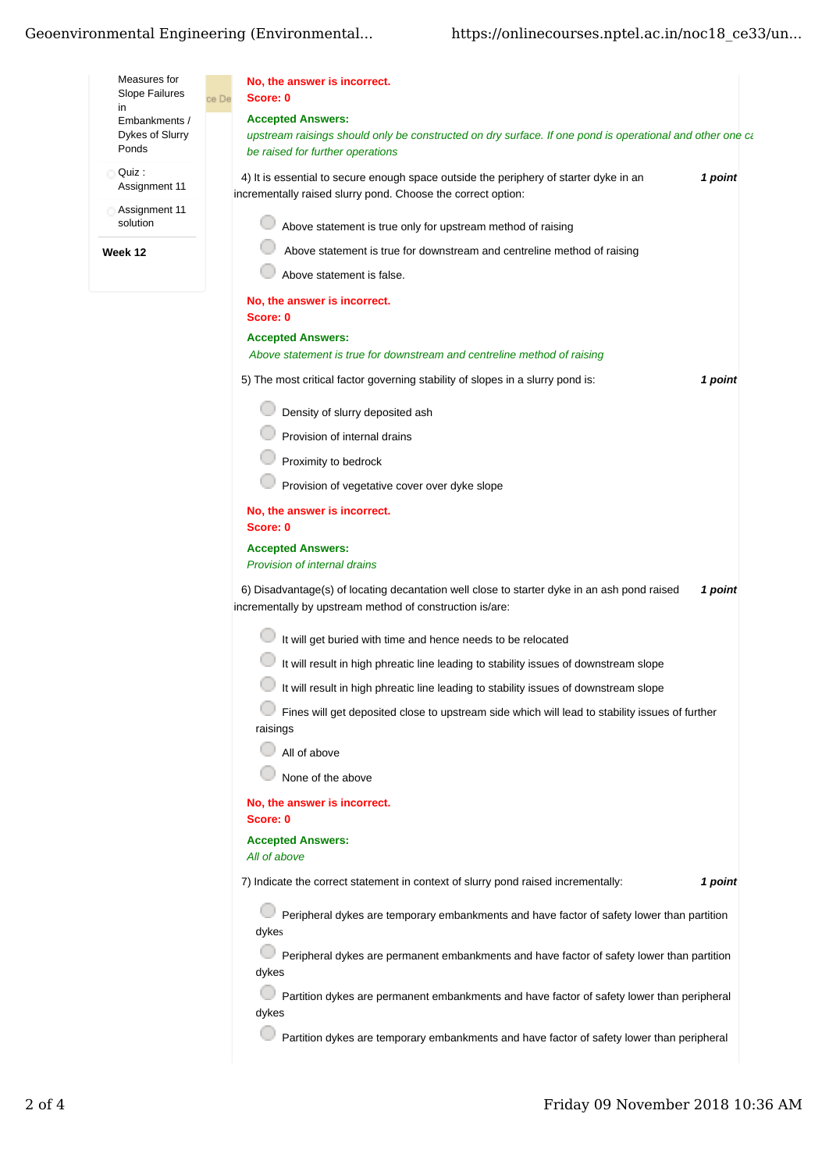## Geoenvironmental Engineering (Environmental...

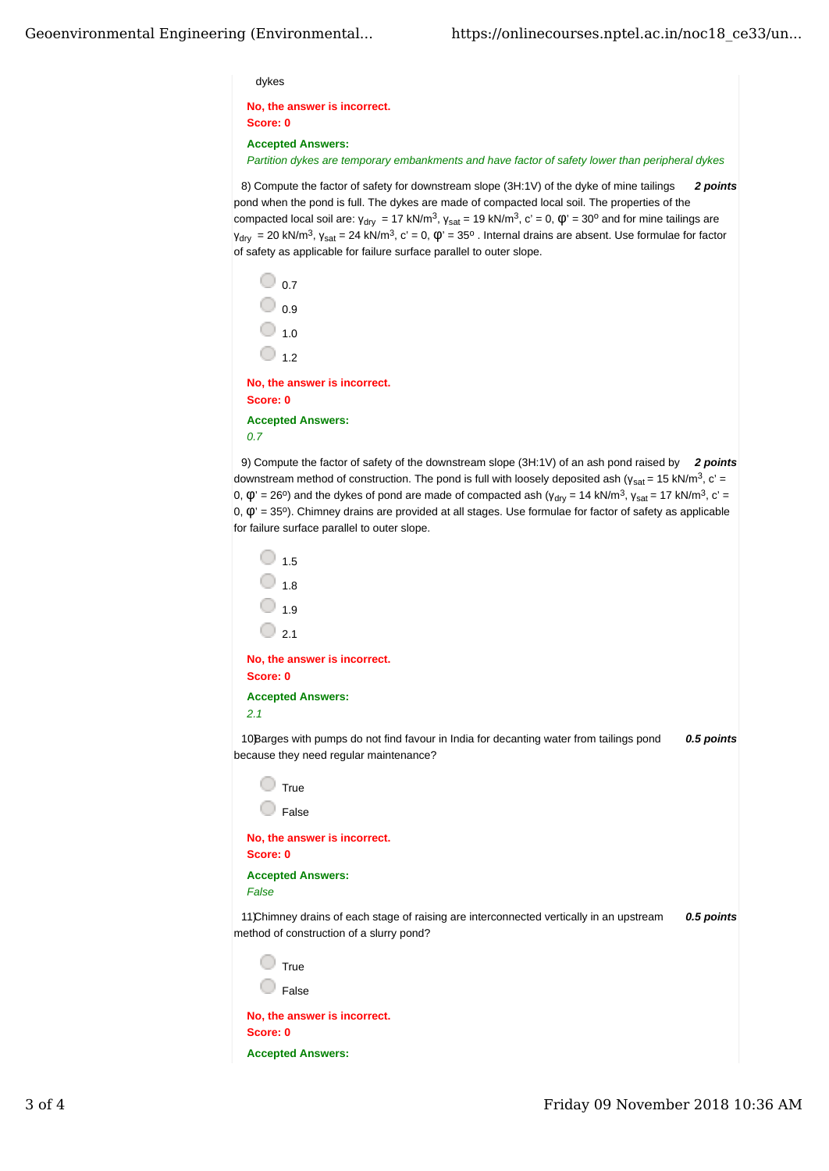## dykes

**No, the answer is incorrect. Score: 0**

**Accepted Answers:**

*Partition dykes are temporary embankments and have factor of safety lower than peripheral dykes*

8) *2 points* Compute the factor of safety for downstream slope (3H:1V) of the dyke of mine tailings pond when the pond is full. The dykes are made of compacted local soil. The properties of the compacted local soil are:  $y_{dry} = 17$  kN/m<sup>3</sup>,  $y_{sat} = 19$  kN/m<sup>3</sup>, c' = 0,  $\phi$ ' = 30° and for mine tailings are  $y_{dry}$  = 20 kN/m<sup>3</sup>,  $y_{sat}$  = 24 kN/m<sup>3</sup>, c' = 0,  $\phi$ ' = 35<sup>o</sup> . Internal drains are absent. Use formulae for factor of safety as applicable for failure surface parallel to outer slope.

 $\circ$  0.7  $\bigcirc$  0.9  $\bigcirc$  1.0  $\bigcirc$  1.2 **No, the answer is incorrect. Score: 0**

**Accepted Answers:** *0.7*

9) *2 points* Compute the factor of safety of the downstream slope (3H:1V) of an ash pond raised by downstream method of construction. The pond is full with loosely deposited ash ( $y_{sat}$  = 15 kN/m<sup>3</sup>, c' = 0,  $\varphi$ ' = 26<sup>o</sup>) and the dykes of pond are made of compacted ash (γ<sub>drv</sub> = 14 kN/m<sup>3</sup>, γ<sub>sat</sub> = 17 kN/m<sup>3</sup>, c' =  $|$  0, = 35°). Chimney drains are provided at all stages. Use formulae for factor of safety as applicable for failure surface parallel to outer slope.

```
\bigcirc 15
\bigcirc 1.8
\bigcirc 1.9
\bigcirc 2.1
```
**No, the answer is incorrect. Score: 0 Accepted Answers:**

*2.1*

10Barges with pumps do not find favour in India for decanting water from tailings pond **0.5 points** because they need regular maintenance?

| True  |  |
|-------|--|
| False |  |

**No, the answer is incorrect. Score: 0 Accepted Answers:**

*False* 

11) Chimney drains of each stage of raising are interconnected vertically in an upstream 0.5 points method of construction of a slurry pond?

 $\Box$  True

**False** 

**No, the answer is incorrect. Score: 0 Accepted Answers:**